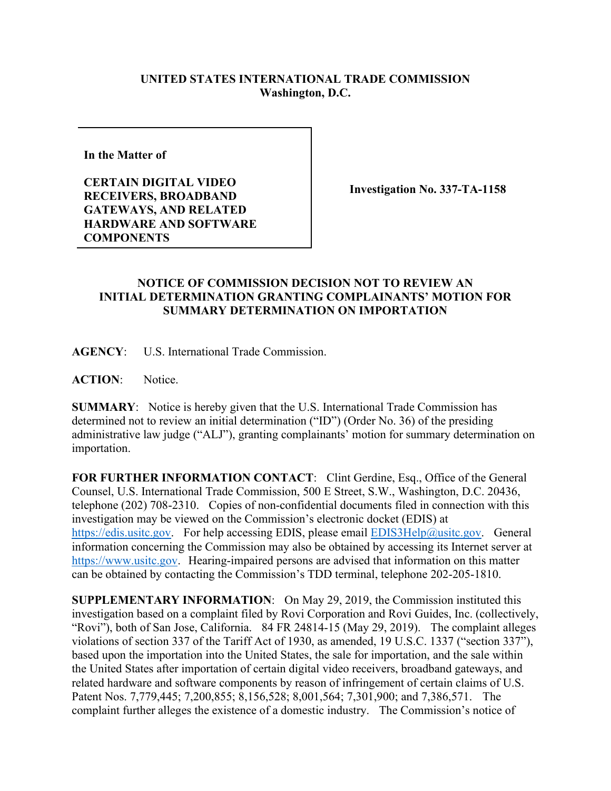## **UNITED STATES INTERNATIONAL TRADE COMMISSION Washington, D.C.**

**In the Matter of** 

**CERTAIN DIGITAL VIDEO RECEIVERS, BROADBAND GATEWAYS, AND RELATED HARDWARE AND SOFTWARE COMPONENTS**

**Investigation No. 337-TA-1158**

## **NOTICE OF COMMISSION DECISION NOT TO REVIEW AN INITIAL DETERMINATION GRANTING COMPLAINANTS' MOTION FOR SUMMARY DETERMINATION ON IMPORTATION**

**AGENCY**: U.S. International Trade Commission.

**ACTION**: Notice.

**SUMMARY**: Notice is hereby given that the U.S. International Trade Commission has determined not to review an initial determination ("ID") (Order No. 36) of the presiding administrative law judge ("ALJ"), granting complainants' motion for summary determination on importation.

**FOR FURTHER INFORMATION CONTACT**: Clint Gerdine, Esq., Office of the General Counsel, U.S. International Trade Commission, 500 E Street, S.W., Washington, D.C. 20436, telephone (202) 708-2310. Copies of non-confidential documents filed in connection with this investigation may be viewed on the Commission's electronic docket (EDIS) at [https://edis.usitc.gov.](https://edis.usitc.gov/) For help accessing EDIS, please email [EDIS3Help@usitc.gov.](mailto:EDIS3Help@usitc.gov) General information concerning the Commission may also be obtained by accessing its Internet server at [https://www.usitc.gov.](https://www.usitc.gov/) Hearing-impaired persons are advised that information on this matter can be obtained by contacting the Commission's TDD terminal, telephone 202-205-1810.

**SUPPLEMENTARY INFORMATION**: On May 29, 2019, the Commission instituted this investigation based on a complaint filed by Rovi Corporation and Rovi Guides, Inc. (collectively, "Rovi"), both of San Jose, California. 84 FR 24814-15 (May 29, 2019). The complaint alleges violations of section 337 of the Tariff Act of 1930, as amended, 19 U.S.C. 1337 ("section 337"), based upon the importation into the United States, the sale for importation, and the sale within the United States after importation of certain digital video receivers, broadband gateways, and related hardware and software components by reason of infringement of certain claims of U.S. Patent Nos. 7,779,445; 7,200,855; 8,156,528; 8,001,564; 7,301,900; and 7,386,571.The complaint further alleges the existence of a domestic industry. The Commission's notice of